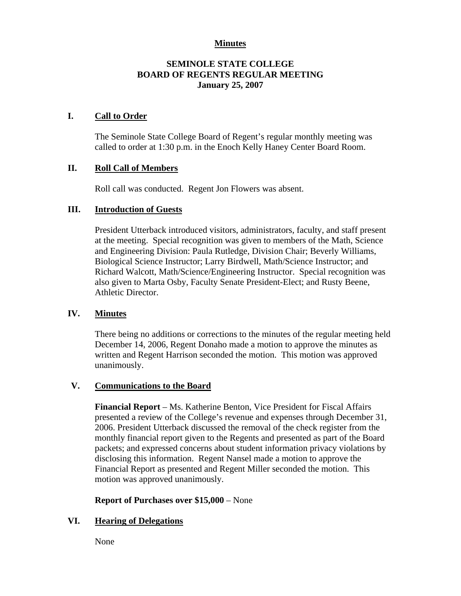### **Minutes**

## **SEMINOLE STATE COLLEGE BOARD OF REGENTS REGULAR MEETING January 25, 2007**

### **I. Call to Order**

The Seminole State College Board of Regent's regular monthly meeting was called to order at 1:30 p.m. in the Enoch Kelly Haney Center Board Room.

## **II. Roll Call of Members**

Roll call was conducted. Regent Jon Flowers was absent.

#### **III. Introduction of Guests**

President Utterback introduced visitors, administrators, faculty, and staff present at the meeting. Special recognition was given to members of the Math, Science and Engineering Division: Paula Rutledge, Division Chair; Beverly Williams, Biological Science Instructor; Larry Birdwell, Math/Science Instructor; and Richard Walcott, Math/Science/Engineering Instructor. Special recognition was also given to Marta Osby, Faculty Senate President-Elect; and Rusty Beene, Athletic Director.

#### **IV. Minutes**

There being no additions or corrections to the minutes of the regular meeting held December 14, 2006, Regent Donaho made a motion to approve the minutes as written and Regent Harrison seconded the motion. This motion was approved unanimously.

#### **V. Communications to the Board**

**Financial Report** – Ms. Katherine Benton, Vice President for Fiscal Affairs presented a review of the College's revenue and expenses through December 31, 2006. President Utterback discussed the removal of the check register from the monthly financial report given to the Regents and presented as part of the Board packets; and expressed concerns about student information privacy violations by disclosing this information. Regent Nansel made a motion to approve the Financial Report as presented and Regent Miller seconded the motion. This motion was approved unanimously.

**Report of Purchases over \$15,000** – None

## **VI. Hearing of Delegations**

None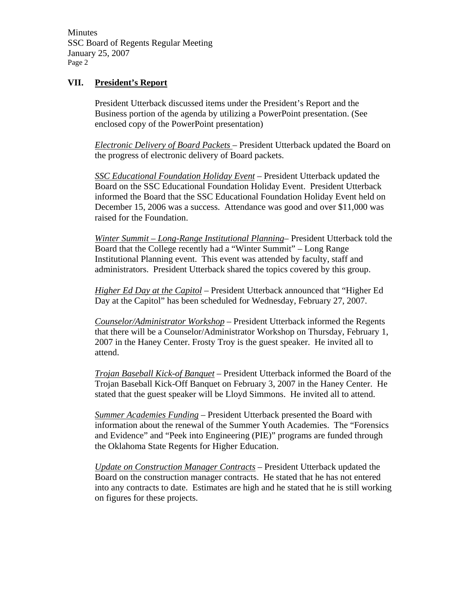Minutes SSC Board of Regents Regular Meeting January 25, 2007 Page 2

### **VII. President's Report**

President Utterback discussed items under the President's Report and the Business portion of the agenda by utilizing a PowerPoint presentation. (See enclosed copy of the PowerPoint presentation)

*Electronic Delivery of Board Packets* – President Utterback updated the Board on the progress of electronic delivery of Board packets.

*SSC Educational Foundation Holiday Event* – President Utterback updated the Board on the SSC Educational Foundation Holiday Event. President Utterback informed the Board that the SSC Educational Foundation Holiday Event held on December 15, 2006 was a success. Attendance was good and over \$11,000 was raised for the Foundation.

*Winter Summit – Long-Range Institutional Planning*– President Utterback told the Board that the College recently had a "Winter Summit" – Long Range Institutional Planning event. This event was attended by faculty, staff and administrators. President Utterback shared the topics covered by this group.

*Higher Ed Day at the Capitol* – President Utterback announced that "Higher Ed Day at the Capitol" has been scheduled for Wednesday, February 27, 2007.

*Counselor/Administrator Workshop* – President Utterback informed the Regents that there will be a Counselor/Administrator Workshop on Thursday, February 1, 2007 in the Haney Center. Frosty Troy is the guest speaker. He invited all to attend.

*Trojan Baseball Kick-of Banquet* – President Utterback informed the Board of the Trojan Baseball Kick-Off Banquet on February 3, 2007 in the Haney Center. He stated that the guest speaker will be Lloyd Simmons. He invited all to attend.

*Summer Academies Funding* – President Utterback presented the Board with information about the renewal of the Summer Youth Academies. The "Forensics and Evidence" and "Peek into Engineering (PIE)" programs are funded through the Oklahoma State Regents for Higher Education.

*Update on Construction Manager Contracts* – President Utterback updated the Board on the construction manager contracts. He stated that he has not entered into any contracts to date. Estimates are high and he stated that he is still working on figures for these projects.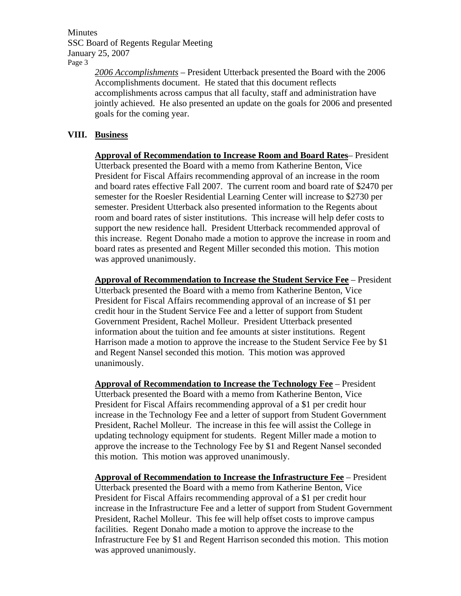Minutes SSC Board of Regents Regular Meeting January 25, 2007 Page 3

> *2006 Accomplishments* – President Utterback presented the Board with the 2006 Accomplishments document. He stated that this document reflects accomplishments across campus that all faculty, staff and administration have jointly achieved. He also presented an update on the goals for 2006 and presented goals for the coming year.

## **VIII. Business**

**Approval of Recommendation to Increase Room and Board Rates**– President Utterback presented the Board with a memo from Katherine Benton, Vice President for Fiscal Affairs recommending approval of an increase in the room and board rates effective Fall 2007. The current room and board rate of \$2470 per semester for the Roesler Residential Learning Center will increase to \$2730 per semester. President Utterback also presented information to the Regents about room and board rates of sister institutions. This increase will help defer costs to support the new residence hall. President Utterback recommended approval of this increase. Regent Donaho made a motion to approve the increase in room and board rates as presented and Regent Miller seconded this motion. This motion was approved unanimously.

**Approval of Recommendation to Increase the Student Service Fee** – President Utterback presented the Board with a memo from Katherine Benton, Vice President for Fiscal Affairs recommending approval of an increase of \$1 per credit hour in the Student Service Fee and a letter of support from Student Government President, Rachel Molleur. President Utterback presented information about the tuition and fee amounts at sister institutions. Regent Harrison made a motion to approve the increase to the Student Service Fee by \$1 and Regent Nansel seconded this motion. This motion was approved unanimously.

**Approval of Recommendation to Increase the Technology Fee** – President Utterback presented the Board with a memo from Katherine Benton, Vice President for Fiscal Affairs recommending approval of a \$1 per credit hour increase in the Technology Fee and a letter of support from Student Government President, Rachel Molleur. The increase in this fee will assist the College in updating technology equipment for students. Regent Miller made a motion to approve the increase to the Technology Fee by \$1 and Regent Nansel seconded this motion. This motion was approved unanimously.

**Approval of Recommendation to Increase the Infrastructure Fee** – President Utterback presented the Board with a memo from Katherine Benton, Vice President for Fiscal Affairs recommending approval of a \$1 per credit hour increase in the Infrastructure Fee and a letter of support from Student Government President, Rachel Molleur. This fee will help offset costs to improve campus facilities. Regent Donaho made a motion to approve the increase to the Infrastructure Fee by \$1 and Regent Harrison seconded this motion. This motion was approved unanimously.